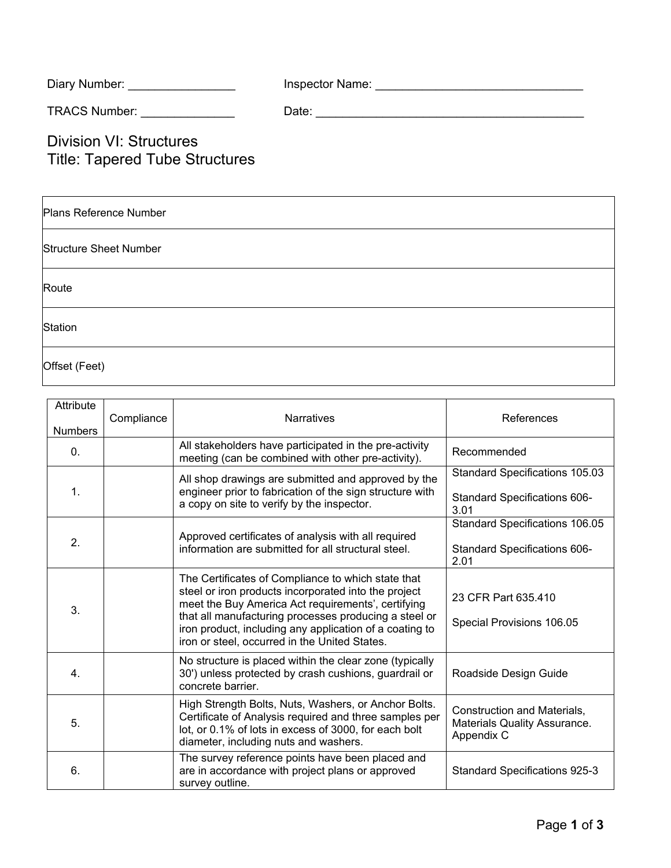| Diary Number: | Inspector Name: |  |
|---------------|-----------------|--|
|               |                 |  |

TRACS Number: \_\_\_\_\_\_\_\_\_\_\_\_\_\_ Date: \_\_\_\_\_\_\_\_\_\_\_\_\_\_\_\_\_\_\_\_\_\_\_\_\_\_\_\_\_\_\_\_\_\_\_\_\_\_\_\_

Division VI: Structures Title: Tapered Tube Structures

| Plans Reference Number        |
|-------------------------------|
| <b>Structure Sheet Number</b> |
| Route                         |
| Station                       |
| Offset (Feet)                 |

| Attribute        | Compliance | <b>Narratives</b>                                                                                                                                                                                                                                                                                                                     | References                                                                    |
|------------------|------------|---------------------------------------------------------------------------------------------------------------------------------------------------------------------------------------------------------------------------------------------------------------------------------------------------------------------------------------|-------------------------------------------------------------------------------|
| <b>Numbers</b>   |            |                                                                                                                                                                                                                                                                                                                                       |                                                                               |
| 0.               |            | All stakeholders have participated in the pre-activity<br>meeting (can be combined with other pre-activity).                                                                                                                                                                                                                          | Recommended                                                                   |
| $\mathbf{1}$ .   |            | All shop drawings are submitted and approved by the<br>engineer prior to fabrication of the sign structure with<br>a copy on site to verify by the inspector.                                                                                                                                                                         | Standard Specifications 105.03<br><b>Standard Specifications 606-</b><br>3.01 |
| 2.               |            | Approved certificates of analysis with all required<br>information are submitted for all structural steel.                                                                                                                                                                                                                            | Standard Specifications 106.05<br>Standard Specifications 606-<br>2.01        |
| 3.               |            | The Certificates of Compliance to which state that<br>steel or iron products incorporated into the project<br>meet the Buy America Act requirements', certifying<br>that all manufacturing processes producing a steel or<br>iron product, including any application of a coating to<br>iron or steel, occurred in the United States. | 23 CFR Part 635.410<br>Special Provisions 106.05                              |
| $\overline{4}$ . |            | No structure is placed within the clear zone (typically<br>30') unless protected by crash cushions, guardrail or<br>concrete barrier.                                                                                                                                                                                                 | Roadside Design Guide                                                         |
| 5.               |            | High Strength Bolts, Nuts, Washers, or Anchor Bolts.<br>Certificate of Analysis required and three samples per<br>lot, or 0.1% of lots in excess of 3000, for each bolt<br>diameter, including nuts and washers.                                                                                                                      | Construction and Materials,<br>Materials Quality Assurance.<br>Appendix C     |
| 6.               |            | The survey reference points have been placed and<br>are in accordance with project plans or approved<br>survey outline.                                                                                                                                                                                                               | <b>Standard Specifications 925-3</b>                                          |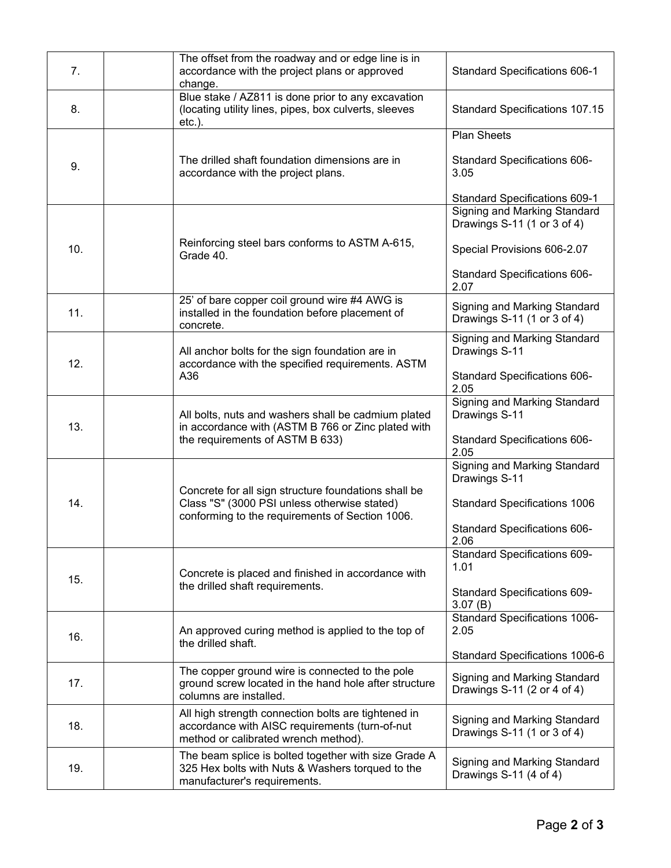| 7.  | The offset from the roadway and or edge line is in<br>accordance with the project plans or approved<br>change.                                          | Standard Specifications 606-1                               |
|-----|---------------------------------------------------------------------------------------------------------------------------------------------------------|-------------------------------------------------------------|
| 8.  | Blue stake / AZ811 is done prior to any excavation<br>(locating utility lines, pipes, box culverts, sleeves<br>$etc.$ ).                                | <b>Standard Specifications 107.15</b>                       |
|     |                                                                                                                                                         | <b>Plan Sheets</b>                                          |
| 9.  | The drilled shaft foundation dimensions are in<br>accordance with the project plans.                                                                    | Standard Specifications 606-<br>3.05                        |
|     |                                                                                                                                                         | Standard Specifications 609-1                               |
|     | Reinforcing steel bars conforms to ASTM A-615,<br>Grade 40.                                                                                             | Signing and Marking Standard<br>Drawings S-11 (1 or 3 of 4) |
| 10. |                                                                                                                                                         | Special Provisions 606-2.07                                 |
|     |                                                                                                                                                         | Standard Specifications 606-<br>2.07                        |
| 11. | 25' of bare copper coil ground wire #4 AWG is<br>installed in the foundation before placement of<br>concrete.                                           | Signing and Marking Standard<br>Drawings S-11 (1 or 3 of 4) |
| 12. | All anchor bolts for the sign foundation are in<br>accordance with the specified requirements. ASTM                                                     | Signing and Marking Standard<br>Drawings S-11               |
|     | A36                                                                                                                                                     | Standard Specifications 606-<br>2.05                        |
| 13. | All bolts, nuts and washers shall be cadmium plated<br>in accordance with (ASTM B 766 or Zinc plated with<br>the requirements of ASTM B 633)            | <b>Signing and Marking Standard</b><br>Drawings S-11        |
|     |                                                                                                                                                         | Standard Specifications 606-<br>2.05                        |
|     | Concrete for all sign structure foundations shall be<br>Class "S" (3000 PSI unless otherwise stated)<br>conforming to the requirements of Section 1006. | <b>Signing and Marking Standard</b><br>Drawings S-11        |
| 14. |                                                                                                                                                         | <b>Standard Specifications 1006</b>                         |
|     |                                                                                                                                                         | Standard Specifications 606-<br>2.06                        |
|     | Concrete is placed and finished in accordance with<br>the drilled shaft requirements.                                                                   | Standard Specifications 609-<br>1.01                        |
| 15. |                                                                                                                                                         | <b>Standard Specifications 609-</b><br>3.07(B)              |
|     | An approved curing method is applied to the top of<br>the drilled shaft.                                                                                | <b>Standard Specifications 1006-</b>                        |
| 16. |                                                                                                                                                         | 2.05                                                        |
|     | The copper ground wire is connected to the pole                                                                                                         | Standard Specifications 1006-6                              |
| 17. | ground screw located in the hand hole after structure<br>columns are installed.                                                                         | Signing and Marking Standard<br>Drawings S-11 (2 or 4 of 4) |
| 18. | All high strength connection bolts are tightened in<br>accordance with AISC requirements (turn-of-nut<br>method or calibrated wrench method).           | Signing and Marking Standard<br>Drawings S-11 (1 or 3 of 4) |
| 19. | The beam splice is bolted together with size Grade A<br>325 Hex bolts with Nuts & Washers torqued to the<br>manufacturer's requirements.                | Signing and Marking Standard<br>Drawings S-11 (4 of 4)      |